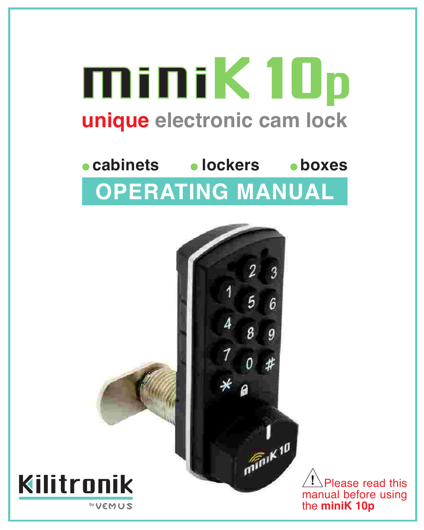# miniK 10p **unique electronic cam lock**

# **cabinets lockers boxes OPERATING MANUAL**



 Please read this manual before using the **miniK 10p**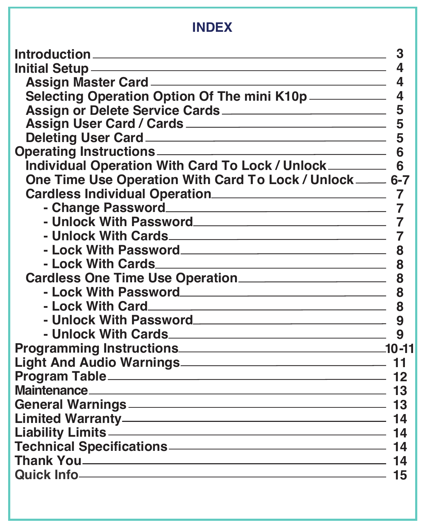# **INDEX**

|                                                                                                | 3  |
|------------------------------------------------------------------------------------------------|----|
| <u> Initial Setup ——————————————————————————</u>                                               | 4  |
|                                                                                                | 4  |
| Selecting Operation Option Of The mini K10p _____________ 4                                    |    |
| Assign or Delete Service Cards                                                                 | 5  |
| Assign User Card / Cards                                                                       | 5  |
|                                                                                                | 5  |
|                                                                                                | 6  |
| Individual Operation With Card To Lock / Unlock                                                | 6  |
| One Time Use Operation With Card To Lock / Unlock _____ 6-7                                    |    |
| Cardless Individual Operation<br>7                                                             |    |
|                                                                                                |    |
| - Unlock With Password                                                                         | 7  |
|                                                                                                |    |
|                                                                                                | 8  |
|                                                                                                | 8  |
| Cardless One Time Use Operation                                                                | 8  |
| - Lock With Password                                                                           | 8  |
|                                                                                                |    |
|                                                                                                |    |
|                                                                                                | q  |
|                                                                                                |    |
|                                                                                                |    |
|                                                                                                |    |
| Maintenance 13                                                                                 |    |
|                                                                                                |    |
|                                                                                                |    |
| Liability Limits 14                                                                            |    |
| Technical Specifications-                                                                      |    |
| Thank You are the set of $\sim$ 14                                                             |    |
| Quick Info.<br>the contract of the contract of the contract of the contract of the contract of | 15 |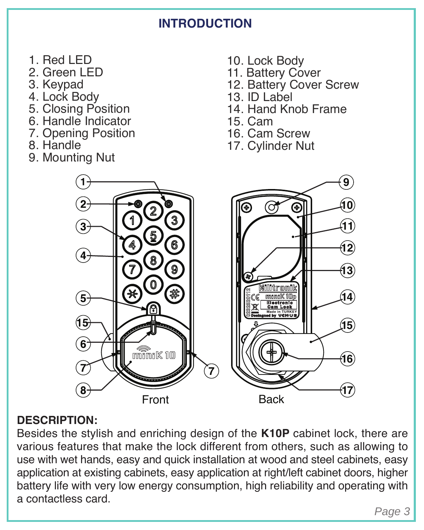# **INTRODUCTION**

- 1. Red LED
- 2. Green LED
- 3. Keypad
- 4. Lock Body
- 5. Closing Position
- 6. Handle Indicator
- 7. Opening Position
- 8. Handle
- 9. Mounting Nut
- 10. Lock Body
- 11. Battery Cover
- 12. Battery Cover Screw
- 13. ID Label
- 14. Hand Knob Frame
- 15. Cam
- 16. Cam Screw
- 17. Cylinder Nut



#### **DESCRIPTION:**

Besides the stylish and enriching design of the **K10P** cabinet lock, there are various features that make the lock different from others, such as allowing to use with wet hands, easy and quick installation at wood and steel cabinets, easy application at existing cabinets, easy application at right/left cabinet doors, higher battery life with very low energy consumption, high reliability and operating with a contactless card.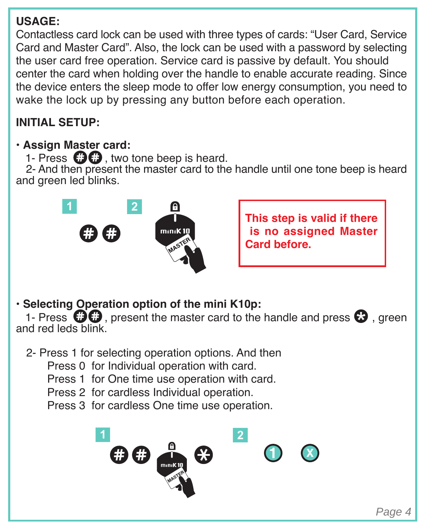#### **USAGE:**

Contactless card lock can be used with three types of cards: "User Card, Service Card and Master Card". Also, the lock can be used with a password by selecting the user card free operation. Service card is passive by default. You should center the card when holding over the handle to enable accurate reading. Since the device enters the sleep mode to offer low energy consumption, you need to wake the lock up by pressing any button before each operation.

#### **INITIAL SETUP:**

#### **• Assign Master card:**

1- Press  $\mathbf{\Omega}\mathbf{\Omega}$  two tone been is heard.

 2- And then present the master card to the handle until one tone beep is heard and green led blinks.



**This step is valid if there is no assigned Master Card before.**

• **Selecting Operation option of the mini K10p:**

1- Press  $\mathbf{\odot}$  present the master card to the handle and press  $\mathbf{\odot}$  areen and red leds blink.

2- Press 1 for selecting operation options. And then

Press 0 for Individual operation with card.

Press 1 for One time use operation with card.

Press 2 for cardless Individual operation.

Press 3 for cardless One time use operation.

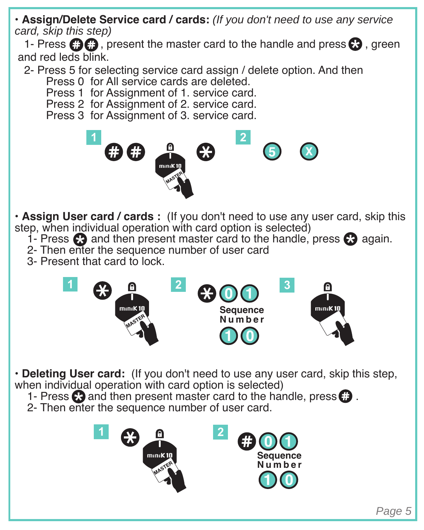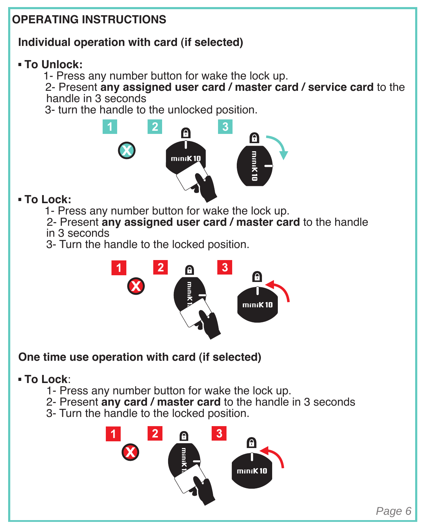# **OPERATING INSTRUCTIONS Individual operation with card (if selected) To Unlock:** 1- Press any number button for wake the lock up. 2- Present **any assigned user card / master card / service card** to the handle in 3 seconds 3- turn the handle to the unlocked position. **1 2 3**  $\mathcal C$ mana  **To Lock:** 1- Press any number button for wake the lock up. 2- Present **any assigned user card / master card** to the handle in 3 seconds 3- Turn the handle to the locked position.  $\overline{2}$  $\overline{3}$ x minil  **One time use operation with card (if selected) To Lock**: 1- Press any number button for wake the lock up. 2- Present **any card / master card** to the handle in 3 seconds 3- Turn the handle to the locked position.  $\blacktriangleleft$  $\mathbf{3}$

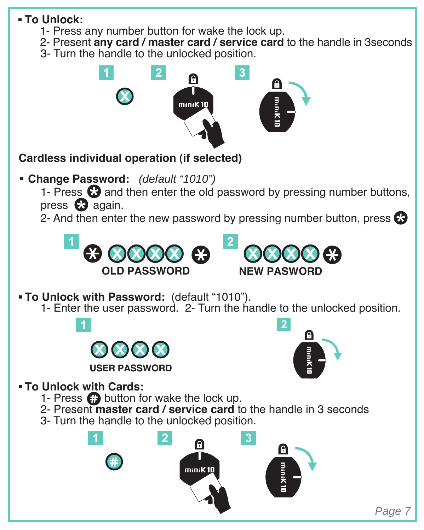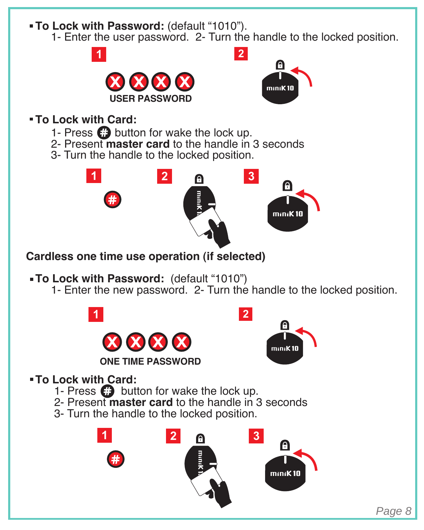

 **To Lock with Card:**

1- Press  $\boldsymbol{\odot}$  button for wake the lock up.

2- Present **master card** to the handle in 3 seconds

3- Turn the handle to the locked position.



Page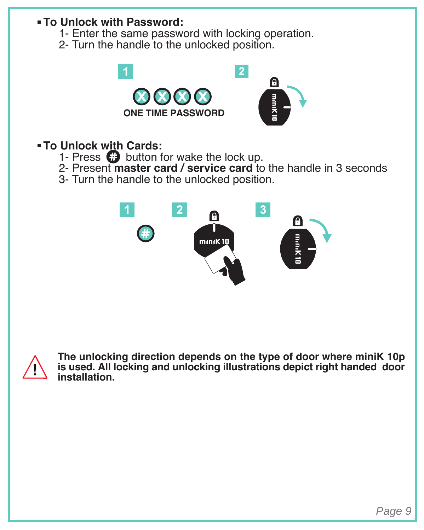#### **To Unlock with Password:**

- 1- Enter the same password with locking operation.
- 2- Turn the handle to the unlocked position.



#### **To Unlock with Cards:**

- 1- Press  $\bigodot$  button for wake the lock up.
- 2- Present **master card / service card** to the handle in 3 seconds
- 3- Turn the handle to the unlocked position.





**The unlocking direction depends on the type of door where miniK 10p is used. All locking and unlocking illustrations depict right handed door installation.**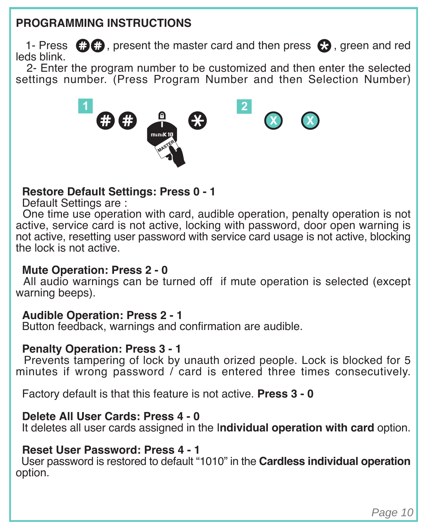#### **PROGRAMMING INSTRUCTIONS**

1- Press  $\bigcirc$   $\bigcirc$  , present the master card and then press  $\bigcirc$ , green and red leds blink.

 2- Enter the program number to be customized and then enter the selected settings number. (Press Program Number and then Selection Number)



#### **Restore Default Settings: Press 0 - 1**

Default Settings are :

 One time use operation with card, audible operation, penalty operation is not active, service card is not active, locking with password, door open warning is not active, resetting user password with service card usage is not active, blocking the lock is not active.

#### **Mute Operation: Press 2 - 0**

 All audio warnings can be turned off if mute operation is selected (except warning beeps).

#### **Audible Operation: Press 2 - 1**

Button feedback, warnings and confirmation are audible.

#### **Penalty Operation: Press 3 - 1**

 Prevents tampering of lock by unauth orized people. Lock is blocked for 5 minutes if wrong password / card is entered three times consecutively.

Factory default is that this feature is not active. **Press 3 - 0**

#### **Delete All User Cards: Press 4 - 0**

It deletes all user cards assigned in the I**ndividual operation with card** option.

#### **Reset User Password: Press 4 - 1**

 User password is restored to default "1010" in the **Cardless individual operation**  option.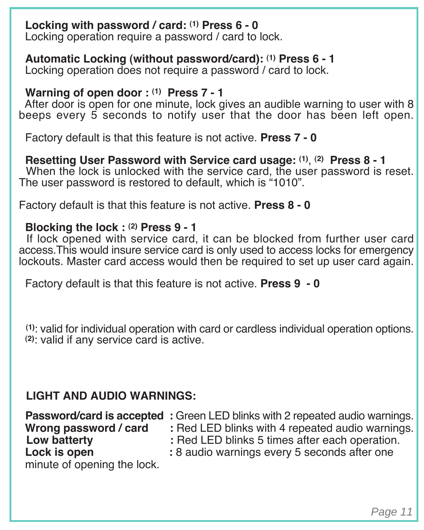#### **Locking with password / card: (1) Press 6 - 0**

Locking operation require a password / card to lock.

 **Automatic Locking (without password/card): (1) Press 6 - 1**

Locking operation does not require a password / card to lock.

#### Warning of open door : (1) Press 7 - 1

 After door is open for one minute, lock gives an audible warning to user with 8 beeps every 5 seconds to notify user that the door has been left open.

Factory default is that this feature is not active. **Press 7 - 0**

 **Resetting User Password with Service card usage: (1)** , **(2) Press 8 - 1**  When the lock is unlocked with the service card, the user password is reset. The user password is restored to default, which is "1010".

Factory default is that this feature is not active. **Press 8 - 0**

#### **Blocking the lock : (2) Press 9 - 1**

If lock opened with service card, it can be blocked from further user card access.This would insure service card is only used to access locks for emergency lockouts. Master card access would then be required to set up user card again.

Factory default is that this feature is not active. **Press 9 - 0**

 **(1)**: valid for individual operation with card or cardless individual operation options.  **(2)**: valid if any service card is active.

#### **LIGHT AND AUDIO WARNINGS:**

|                             | Password/card is accepted : Green LED blinks with 2 repeated audio warnings. |
|-----------------------------|------------------------------------------------------------------------------|
| Wrong password / card       | : Red LED blinks with 4 repeated audio warnings.                             |
| Low batterty                | : Red LED blinks 5 times after each operation.                               |
| Lock is open                | : 8 audio warnings every 5 seconds after one                                 |
| minute of opening the lock. |                                                                              |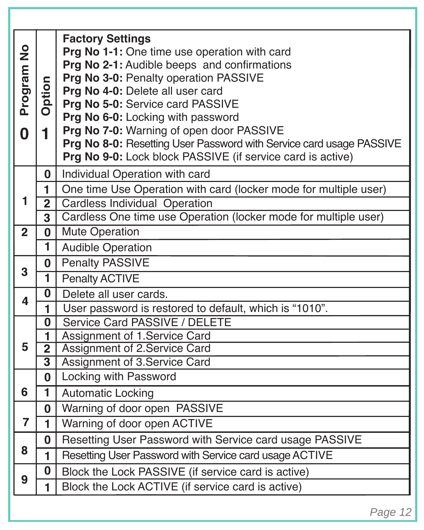| Program No     | Option                                        | <b>Factory Settings</b><br>Prg No 1-1: One time use operation with card<br>Prg No 2-1: Audible beeps and confirmations<br>Prg No 3-0: Penalty operation PASSIVE<br>Prg No 4-0: Delete all user card<br>Prg No 5-0: Service card PASSIVE<br>Prg No 6-0: Locking with password |  |  |
|----------------|-----------------------------------------------|------------------------------------------------------------------------------------------------------------------------------------------------------------------------------------------------------------------------------------------------------------------------------|--|--|
| 0              | Prg No 7-0: Warning of open door PASSIVE<br>1 |                                                                                                                                                                                                                                                                              |  |  |
|                |                                               | Prg No 8-0: Resetting User Password with Service card usage PASSIVE<br>Prg No 9-0: Lock block PASSIVE (if service card is active)                                                                                                                                            |  |  |
|                | 0                                             | Individual Operation with card                                                                                                                                                                                                                                               |  |  |
|                | 1                                             | One time Use Operation with card (locker mode for multiple user)                                                                                                                                                                                                             |  |  |
| 1              | $\overline{2}$                                | Cardless Individual Operation                                                                                                                                                                                                                                                |  |  |
|                | 3                                             | Cardless One time use Operation (locker mode for multiple user)                                                                                                                                                                                                              |  |  |
| $\overline{2}$ | 0                                             | <b>Mute Operation</b>                                                                                                                                                                                                                                                        |  |  |
|                | 1                                             | <b>Audible Operation</b>                                                                                                                                                                                                                                                     |  |  |
| 3              | 0                                             | Penalty PASSIVE                                                                                                                                                                                                                                                              |  |  |
|                | 1                                             | Penalty ACTIVE                                                                                                                                                                                                                                                               |  |  |
| 4              | 0<br>Delete all user cards.                   |                                                                                                                                                                                                                                                                              |  |  |
|                | 1                                             | User password is restored to default, which is "1010".                                                                                                                                                                                                                       |  |  |
|                | 0                                             | Service Card PASSIVE / DELETE<br>Assignment of 1.Service Card                                                                                                                                                                                                                |  |  |
| 5              | 1<br>$\overline{2}$                           | Assignment of 2.Service Card                                                                                                                                                                                                                                                 |  |  |
|                | $\overline{\mathbf{3}}$                       | Assignment of 3.Service Card                                                                                                                                                                                                                                                 |  |  |
|                | 0                                             | Locking with Password                                                                                                                                                                                                                                                        |  |  |
| 6              | ī                                             | Automatic Locking                                                                                                                                                                                                                                                            |  |  |
|                | 0                                             | Warning of door open PASSIVE                                                                                                                                                                                                                                                 |  |  |
| $\overline{7}$ | 1                                             | Warning of door open ACTIVE                                                                                                                                                                                                                                                  |  |  |
|                | 0                                             | Resetting User Password with Service card usage PASSIVE                                                                                                                                                                                                                      |  |  |
| 8              | 1                                             | Resetting User Password with Service card usage ACTIVE                                                                                                                                                                                                                       |  |  |
| 9              | 0                                             | Block the Lock PASSIVE (if service card is active)                                                                                                                                                                                                                           |  |  |
|                | 1                                             | Block the Lock ACTIVE (if service card is active)                                                                                                                                                                                                                            |  |  |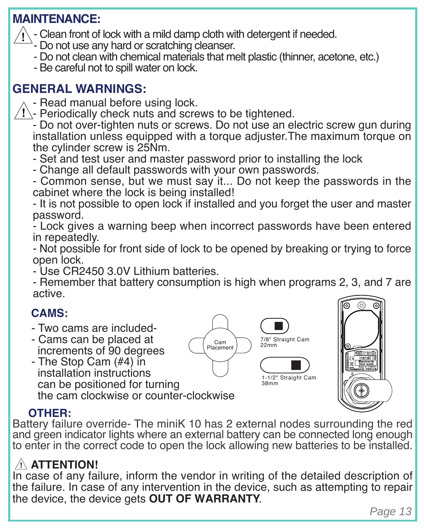# **MAINTENANCE:**

- Clean front of lock with a mild damp cloth with detergent if needed.
	- Do not use any hard or scratching cleanser.
	- Do not clean with chemical materials that melt plastic (thinner, acetone, etc.)
	- Be careful not to spill water on lock.

# **GENERAL WARNINGS:**

- Read manual before using lock.
- $\sqrt{!}$  Periodically check nuts and screws to be tightened.

- Do not over-tighten nuts or screws. Do not use an electric screw gun during installation unless equipped with a torque adjuster.The maximum torque on the cylinder screw is 25Nm.

- Set and test user and master password prior to installing the lock
- Change all default passwords with your own passwords.

- Common sense, but we must say it... Do not keep the passwords in the cabinet where the lock is being installed!

- It is not possible to open lock if installed and you forget the user and master password.

- Lock gives a warning beep when incorrect passwords have been entered in repeatedly.

- Not possible for front side of lock to be opened by breaking or trying to force open lock.

- Use CR2450 3.0V Lithium batteries.

- Remember that battery consumption is high when programs 2, 3, and 7 are active.

# **CAMS:**

- Two cams are included-
- Cams can be placed at increments of 90 degrees

 - The Stop Cam (#4) in installation instructions can be positioned for turning the cam clockwise or counter-clockwise





# **OTHER:**

Battery failure override- The miniK 10 has 2 external nodes surrounding the red and green indicator lights where an external battery can be connected long enough to enter in the correct code to open the lock allowing new batteries to be installed.

# **ATTENTION!**

In case of any failure, inform the vendor in writing of the detailed description of the failure. In case of any intervention in the device, such as attempting to repair the device, the device gets **OUT OF WARRANTY**.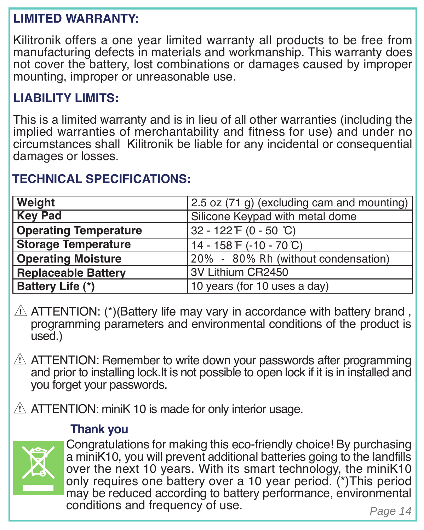# **LIMITED WARRANTY:**

Kilitronik offers a one year limited warranty all products to be free from manufacturing defects in materials and workmanship. This warranty does not cover the battery, lost combinations or damages caused by improper mounting, improper or unreasonable use.

# **LIABILITY LIMITS:**

This is a limited warranty and is in lieu of all other warranties (including the implied warranties of merchantability and fitness for use) and under no circumstances shall Kilitronik be liable for any incidental or consequential damages or losses.

# **TECHNICAL SPECIFICATIONS:**

| Weight                       | 2.5 oz (71 g) (excluding cam and mounting) |
|------------------------------|--------------------------------------------|
| <b>Key Pad</b>               | Silicone Keypad with metal dome            |
| <b>Operating Temperature</b> | 32 - 122 F (0 - 50 °C)                     |
| Storage Temperature          | 14 - 158 F (-10 - 70 °C)                   |
| <b>Operating Moisture</b>    | 20% - 80% Rh (without condensation)        |
| <b>Replaceable Battery</b>   | 3V Lithium CR2450                          |
| Battery Life (*)             | 10 years (for 10 uses a day)               |

 $\Lambda$  ATTENTION: (\*)(Battery life may vary in accordance with battery brand, programming parameters and environmental conditions of the product is used.)

 $\triangle$  ATTENTION: Remember to write down your passwords after programming and prior to installing lock.It is not possible to open lock if it is in installed and you forget your passwords.

 $\Lambda$  ATTENTION: miniK 10 is made for only interior usage.

#### **Thank you**



Congratulations for making this eco-friendly choice! By purchasing a miniK10, you will prevent additional batteries going to the landfills over the next 10 years. With its smart technology, the miniK10 only requires one battery over a 10 year period. (\*)This period may be reduced according to battery performance, environmental conditions and frequency of use.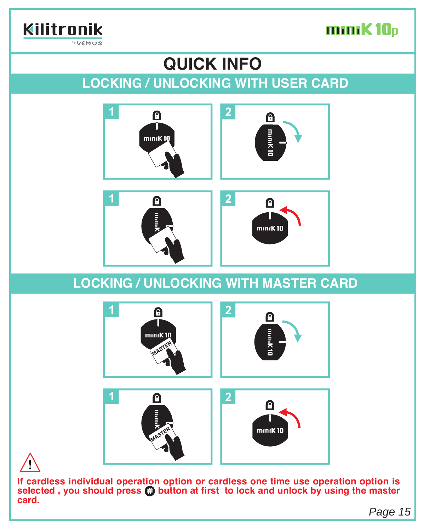

#### Kilitronik  $WQ$  $F$ M $\Omega$ S

# **QUICK INFO**

# **LOCKING / UNLOCKING WITH USER CARD**



# **LOCKING / UNLOCKING WITH MASTER CARD**



**If cardless individual operation option or cardless one time use operation option is selected , you should press button at first to lock and unlock by using the master card.**